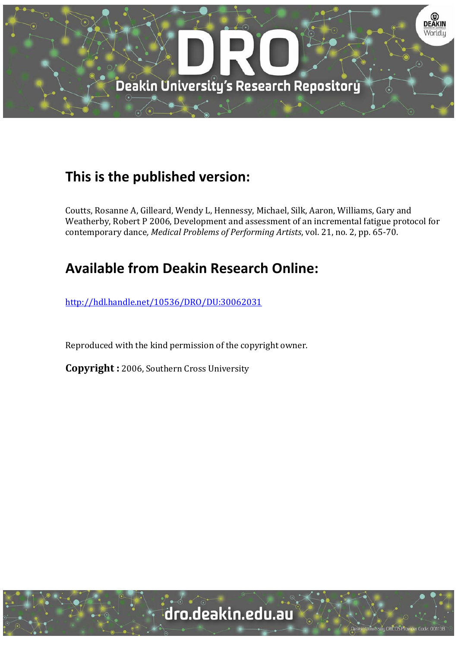

### **This is the published version:**

Coutts, Rosanne A, Gilleard, Wendy L, Hennessy, Michael, Silk, Aaron, Williams, Gary and Weatherby, Robert P 2006, Development and assessment of an incremental fatigue protocol for contemporary dance*, Medical Problems of Performing Artists*, vol. 21, no. 2, pp. 65‐70. 

## **Available from Deakin Research Online:**

http://hdl.handle.net/10536/DRO/DU:30062031

Reproduced with the kind permission of the copyright owner.

**Copyright** : 2006, Southern Cross University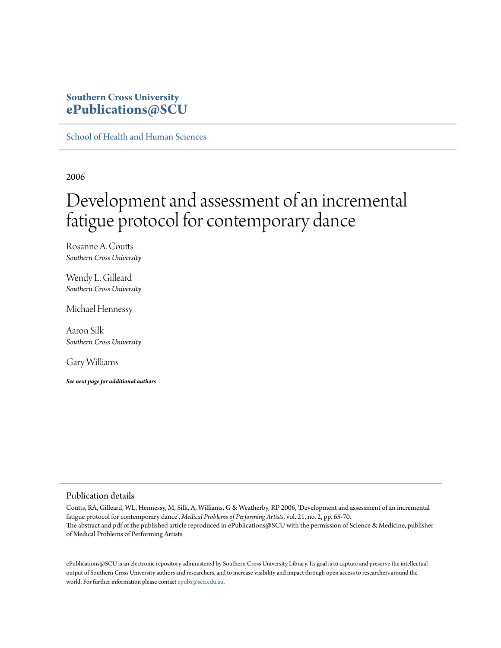### **Southern Cross University [ePublications@SCU](http://epubs.scu.edu.au)**

[School of Health and Human Sciences](http://epubs.scu.edu.au/hahs_pubs)

2006

## Development and assessment of an incremental fatigue protocol for contemporary dance

Rosanne A. Coutts *Southern Cross University*

Wendy L. Gilleard *Southern Cross University*

Michael Hennessy

Aaron Silk *Southern Cross University*

Gary Williams

*See next page for additional authors*

#### Publication details

Coutts, RA, Gilleard, WL, Hennessy, M, Silk, A, Williams, G & Weatherby, RP 2006, 'Development and assessment of an incremental fatigue protocol for contemporary dance', *Medical Problems of Performing Artists*, vol. 21, no. 2, pp. 65-70. The abstract and pdf of the published article reproduced in ePublications@SCU with the permission of Science & Medicine, publisher of Medical Problems of Performing Artists

ePublications@SCU is an electronic repository administered by Southern Cross University Library. Its goal is to capture and preserve the intellectual output of Southern Cross University authors and researchers, and to increase visibility and impact through open access to researchers around the world. For further information please contact [epubs@scu.edu.au](mailto:epubs@scu.edu.au).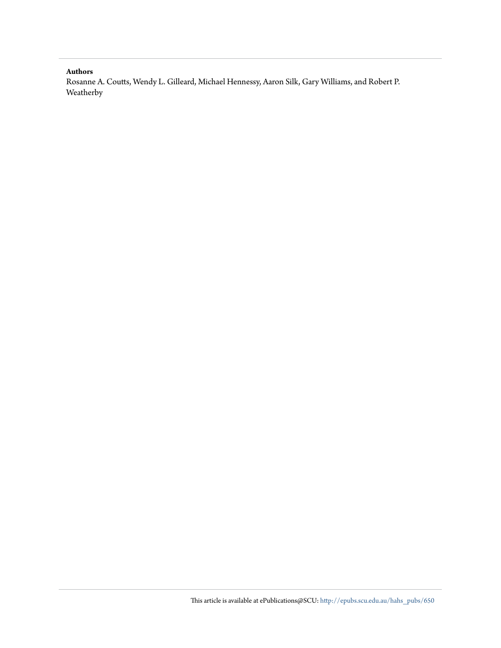#### **Authors**

Rosanne A. Coutts, Wendy L. Gilleard, Michael Hennessy, Aaron Silk, Gary Williams, and Robert P. Weatherby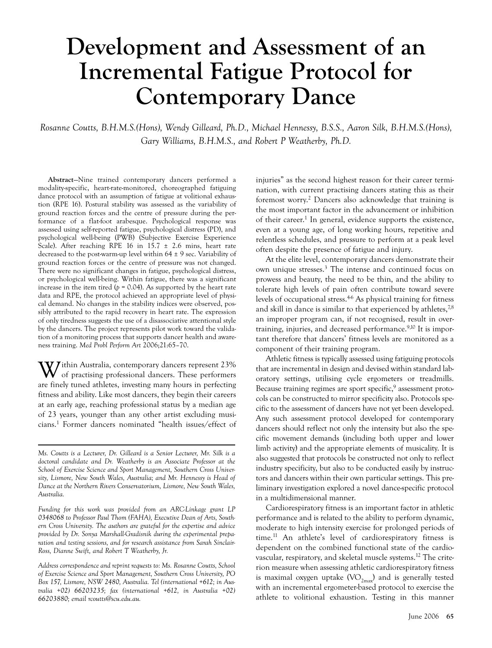# **Development and Assessment of an Incremental Fatigue Protocol for Contemporary Dance**

*Rosanne Coutts, B.H.M.S.(Hons), Wendy Gilleard, Ph.D., Michael Hennessy, B.S.S., Aaron Silk, B.H.M.S.(Hons), Gary Williams, B.H.M.S., and Robert P Weatherby, Ph.D.*

**Abstract**—Nine trained contemporary dancers performed a modality-specific, heart-rate-monitored, choreographed fatiguing dance protocol with an assumption of fatigue at volitional exhaustion (RPE 16). Postural stability was assessed as the variability of ground reaction forces and the centre of pressure during the performance of a flat-foot arabesque. Psychological response was assessed using self-reported fatigue, psychological distress (PD), and psychological well-being (PWB) (Subjective Exercise Experience Scale). After reaching RPE 16 in  $15.7 \pm 2.6$  mins, heart rate decreased to the post-warm-up level within  $64 \pm 9$  sec. Variability of ground reaction forces or the centre of pressure was not changed. There were no significant changes in fatigue, psychological distress, or psychological well-being. Within fatigue, there was a significant increase in the item tired ( $p = 0.04$ ). As supported by the heart rate data and RPE, the protocol achieved an appropriate level of physical demand. No changes in the stability indices were observed, possibly attributed to the rapid recovery in heart rate. The expression of only tiredness suggests the use of a disassociative attentional style by the dancers. The project represents pilot work toward the validation of a monitoring process that supports dancer health and awareness training. *Med Probl Perform Art* 2006;21:65–70.

Within Australia, contemporary dancers represent 23% of practising professional dancers. These performers are finely tuned athletes, investing many hours in perfecting fitness and ability. Like most dancers, they begin their careers at an early age, reaching professional status by a median age of 23 years, younger than any other artist excluding musicians.1 Former dancers nominated "health issues/effect of

*Address correspondence and reprint requests to: Ms. Rosanne Coutts, School of Exercise Science and Sport Management, Southern Cross University, PO Box 157, Lismore, NSW 2480, Australia. Tel (international +612; in Australia +02) 66203235; fax (international +612, in Australia +02) 66203880; email rcoutts@scu.edu.au.*

injuries" as the second highest reason for their career termination, with current practising dancers stating this as their foremost worry.2 Dancers also acknowledge that training is the most important factor in the advancement or inhibition of their career.<sup>1</sup> In general, evidence supports the existence, even at a young age, of long working hours, repetitive and relentless schedules, and pressure to perform at a peak level often despite the presence of fatigue and injury.

At the elite level, contemporary dancers demonstrate their own unique stresses.3 The intense and continued focus on prowess and beauty, the need to be thin, and the ability to tolerate high levels of pain often contribute toward severe levels of occupational stress.<sup>46</sup> As physical training for fitness and skill in dance is similar to that experienced by athletes,<sup>7,8</sup> an improper program can, if not recognised, result in overtraining, injuries, and decreased performance.<sup>9,10</sup> It is important therefore that dancers' fitness levels are monitored as a component of their training program.

Athletic fitness is typically assessed using fatiguing protocols that are incremental in design and devised within standard laboratory settings, utilising cycle ergometers or treadmills. Because training regimes are sport specific,<sup>9</sup> assessment protocols can be constructed to mirror specificity also. Protocols specific to the assessment of dancers have not yet been developed. Any such assessment protocol developed for contemporary dancers should reflect not only the intensity but also the specific movement demands (including both upper and lower limb activity) and the appropriate elements of musicality. It is also suggested that protocols be constructed not only to reflect industry specificity, but also to be conducted easily by instructors and dancers within their own particular settings. This preliminary investigation explored a novel dance-specific protocol in a multidimensional manner.

Cardiorespiratory fitness is an important factor in athletic performance and is related to the ability to perform dynamic, moderate to high intensity exercise for prolonged periods of time.11 An athlete's level of cardiorespiratory fitness is dependent on the combined functional state of the cardiovascular, respiratory, and skeletal muscle systems.12 The criterion measure when assessing athletic cardiorespiratory fitness is maximal oxygen uptake  $(VO_{2max})$  and is generally tested with an incremental ergometer-based protocol to exercise the athlete to volitional exhaustion. Testing in this manner

*Ms. Coutts is a Lecturer, Dr. Gilleard is a Senior Lecturer, Mr. Silk is a doctoral candidate and Dr. Weatherby is an Associate Professor at the School of Exercise Science and Sport Management, Southern Cross University, Lismore, New South Wales, Australia; and Mr. Hennessy is Head of Dance at the Northern Rivers Conservatorium, Lismore, New South Wales, Australia.* 

*Funding for this work was provided from an ARC-Linkage grant LP 0348068 to Professor Paul Thom (FAHA), Executive Dean of Arts, Southern Cross University. The authors are grateful for the expertise and advice provided by Dr. Sonya Marshall-Gradisnik during the experimental preparation and testing sessions, and for research assistance from Sarah Sinclair-Ross, Dianne Swift, and Robert T Weatherby, Jr.*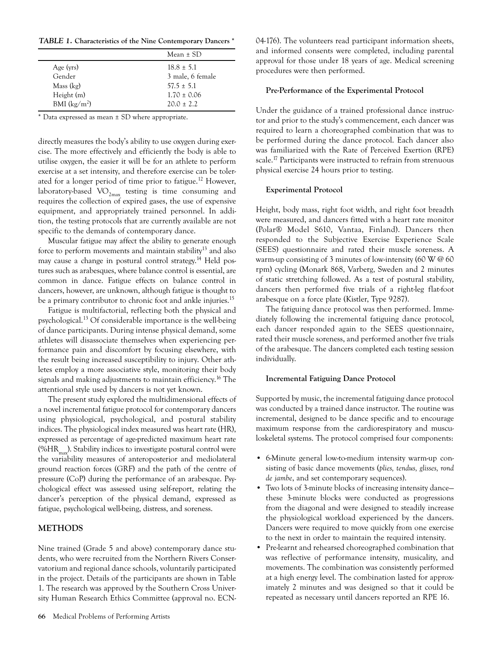*TABLE 1.* **Characteristics of the Nine Contemporary Dancers \***

|                | Mean $\pm$ SD    |
|----------------|------------------|
| Age (yrs)      | $18.8 \pm 5.1$   |
| Gender         | 3 male, 6 female |
| Mass (kg)      | $57.5 \pm 5.1$   |
| Height (m)     | $1.70 \pm 0.06$  |
| BMI $(kg/m^2)$ | $20.0 + 2.2$     |

\* Data expressed as mean ± SD where appropriate.

directly measures the body's ability to use oxygen during exercise. The more effectively and efficiently the body is able to utilise oxygen, the easier it will be for an athlete to perform exercise at a set intensity, and therefore exercise can be tolerated for a longer period of time prior to fatigue.<sup>12</sup> However, laboratory-based  $VO_{2max}$  testing is time consuming and requires the collection of expired gases, the use of expensive equipment, and appropriately trained personnel. In addition, the testing protocols that are currently available are not specific to the demands of contemporary dance.

Muscular fatigue may affect the ability to generate enough force to perform movements and maintain stability<sup>13</sup> and also may cause a change in postural control strategy.<sup>14</sup> Held postures such as arabesques, where balance control is essential, are common in dance. Fatigue effects on balance control in dancers, however, are unknown, although fatigue is thought to be a primary contributor to chronic foot and ankle injuries.<sup>15</sup>

Fatigue is multifactorial, reflecting both the physical and psychological.13 Of considerable importance is the well-being of dance participants. During intense physical demand, some athletes will disassociate themselves when experiencing performance pain and discomfort by focusing elsewhere, with the result being increased susceptibility to injury. Other athletes employ a more associative style, monitoring their body signals and making adjustments to maintain efficiency.<sup>16</sup> The attentional style used by dancers is not yet known.

The present study explored the multidimensional effects of a novel incremental fatigue protocol for contemporary dancers using physiological, psychological, and postural stability indices. The physiological index measured was heart rate (HR), expressed as percentage of age-predicted maximum heart rate  $(\%HR_{mm})$ . Stability indices to investigate postural control were the variability measures of anteroposterior and mediolateral ground reaction forces (GRF) and the path of the centre of pressure (CoP) during the performance of an arabesque. Psychological effect was assessed using self-report, relating the dancer's perception of the physical demand, expressed as fatigue, psychological well-being, distress, and soreness.

#### **METHODS**

Nine trained (Grade 5 and above) contemporary dance students, who were recruited from the Northern Rivers Conservatorium and regional dance schools, voluntarily participated in the project. Details of the participants are shown in Table 1. The research was approved by the Southern Cross University Human Research Ethics Committee (approval no. ECN- 04-176). The volunteers read participant information sheets, and informed consents were completed, including parental approval for those under 18 years of age. Medical screening procedures were then performed.

#### **Pre-Performance of the Experimental Protocol**

Under the guidance of a trained professional dance instructor and prior to the study's commencement, each dancer was required to learn a choreographed combination that was to be performed during the dance protocol. Each dancer also was familiarized with the Rate of Perceived Exertion (RPE) scale.<sup>17</sup> Participants were instructed to refrain from strenuous physical exercise 24 hours prior to testing.

#### **Experimental Protocol**

Height, body mass, right foot width, and right foot breadth were measured, and dancers fitted with a heart rate monitor (Polar® Model S610, Vantaa, Finland). Dancers then responded to the Subjective Exercise Experience Scale (SEES) questionnaire and rated their muscle soreness. A warm-up consisting of 3 minutes of low-intensity (60 W @ 60 rpm) cycling (Monark 868, Varberg, Sweden and 2 minutes of static stretching followed. As a test of postural stability, dancers then performed five trials of a right-leg flat-foot arabesque on a force plate (Kistler, Type 9287).

The fatiguing dance protocol was then performed. Immediately following the incremental fatiguing dance protocol, each dancer responded again to the SEES questionnaire, rated their muscle soreness, and performed another five trials of the arabesque. The dancers completed each testing session individually.

#### **Incremental Fatiguing Dance Protocol**

Supported by music, the incremental fatiguing dance protocol was conducted by a trained dance instructor. The routine was incremental, designed to be dance specific and to encourage maximum response from the cardiorespiratory and musculoskeletal systems. The protocol comprised four components:

- 6-Minute general low-to-medium intensity warm-up consisting of basic dance movements (*plies, tendus, glisses, rond de jambe*, and set contemporary sequences).
- Two lots of 3-minute blocks of increasing intensity dance these 3-minute blocks were conducted as progressions from the diagonal and were designed to steadily increase the physiological workload experienced by the dancers. Dancers were required to move quickly from one exercise to the next in order to maintain the required intensity.
- Pre-learnt and rehearsed choreographed combination that was reflective of performance intensity, musicality, and movements. The combination was consistently performed at a high energy level. The combination lasted for approximately 2 minutes and was designed so that it could be repeated as necessary until dancers reported an RPE 16.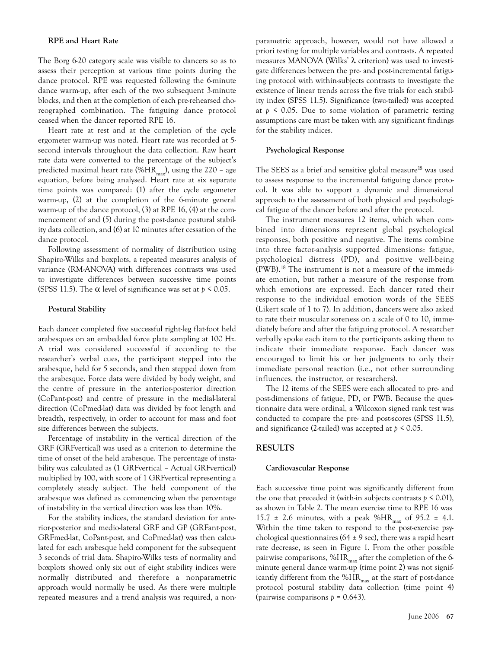#### **RPE and Heart Rate**

The Borg 6-20 category scale was visible to dancers so as to assess their perception at various time points during the dance protocol. RPE was requested following the 6-minute dance warm-up, after each of the two subsequent 3-minute blocks, and then at the completion of each pre-rehearsed choreographed combination. The fatiguing dance protocol ceased when the dancer reported RPE 16.

Heart rate at rest and at the completion of the cycle ergometer warm-up was noted. Heart rate was recorded at 5 second intervals throughout the data collection. Raw heart rate data were converted to the percentage of the subject's predicted maximal heart rate (%HR<sub>max</sub>), using the 220 - age equation, before being analysed. Heart rate at six separate time points was compared: (1) after the cycle ergometer warm-up, (2) at the completion of the 6-minute general warm-up of the dance protocol, (3) at RPE 16, (4) at the commencement of and (5) during the post-dance postural stability data collection, and (6) at 10 minutes after cessation of the dance protocol.

Following assessment of normality of distribution using Shapiro-Wilks and boxplots, a repeated measures analysis of variance (RM-ANOVA) with differences contrasts was used to investigate differences between successive time points (SPSS 11.5). The  $\alpha$  level of significance was set at  $p \le 0.05$ .

#### **Postural Stability**

Each dancer completed five successful right-leg flat-foot held arabesques on an embedded force plate sampling at 100 Hz. A trial was considered successful if according to the researcher's verbal cues, the participant stepped into the arabesque, held for 5 seconds, and then stepped down from the arabesque. Force data were divided by body weight, and the centre of pressure in the anterior-posterior direction (CoPant-post) and centre of pressure in the medial-lateral direction (CoPmed-lat) data was divided by foot length and breadth, respectively, in order to account for mass and foot size differences between the subjects.

Percentage of instability in the vertical direction of the GRF (GRFvertical) was used as a criterion to determine the time of onset of the held arabesque. The percentage of instability was calculated as (1 GRFvertical – Actual GRFvertical) multiplied by 100, with score of 1 GRFvertical representing a completely steady subject. The held component of the arabesque was defined as commencing when the percentage of instability in the vertical direction was less than 10%.

For the stability indices, the standard deviation for anterior-posterior and medio-lateral GRF and GP (GRFant-post, GRFmed-lat, CoPant-post, and CoPmed-lat) was then calculated for each arabesque held component for the subsequent 3 seconds of trial data. Shapiro-Wilks tests of normality and boxplots showed only six out of eight stability indices were normally distributed and therefore a nonparametric approach would normally be used. As there were multiple repeated measures and a trend analysis was required, a nonparametric approach, however, would not have allowed a priori testing for multiple variables and contrasts. A repeated measures MANOVA (Wilks' λ criterion) was used to investigate differences between the pre- and post-incremental fatiguing protocol with within-subjects contrasts to investigate the existence of linear trends across the five trials for each stability index (SPSS 11.5). Significance (two-tailed) was accepted at  $p \leq 0.05$ . Due to some violation of parametric testing assumptions care must be taken with any significant findings for the stability indices.

#### **Psychological Response**

The SEES as a brief and sensitive global measure<sup>18</sup> was used to assess response to the incremental fatiguing dance protocol. It was able to support a dynamic and dimensional approach to the assessment of both physical and psychological fatigue of the dancer before and after the protocol.

The instrument measures 12 items, which when combined into dimensions represent global psychological responses, both positive and negative. The items combine into three factor-analysis supported dimensions: fatigue, psychological distress (PD), and positive well-being (PWB).18 The instrument is not a measure of the immediate emotion, but rather a measure of the response from which emotions are expressed. Each dancer rated their response to the individual emotion words of the SEES (Likert scale of 1 to 7). In addition, dancers were also asked to rate their muscular soreness on a scale of 0 to 10, immediately before and after the fatiguing protocol. A researcher verbally spoke each item to the participants asking them to indicate their immediate response. Each dancer was encouraged to limit his or her judgments to only their immediate personal reaction (i.e., not other surrounding influences, the instructor, or researchers).

The 12 items of the SEES were each allocated to pre- and post-dimensions of fatigue, PD, or PWB. Because the questionnaire data were ordinal, a Wilcoxon signed rank test was conducted to compare the pre- and post-scores (SPSS 11.5), and significance (2-tailed) was accepted at *p* < 0.05.

#### **RESULTS**

#### **Cardiovascular Response**

Each successive time point was significantly different from the one that preceded it (with-in subjects contrasts  $p \le 0.01$ ), as shown in Table 2. The mean exercise time to RPE 16 was 15.7  $\pm$  2.6 minutes, with a peak %HR<sub>max</sub> of 95.2  $\pm$  4.1. Within the time taken to respond to the post-exercise psychological questionnaires (64  $\pm$  9 sec), there was a rapid heart rate decrease, as seen in Figure 1. From the other possible pairwise comparisons,  $%HR_{max}$  after the completion of the 6minute general dance warm-up (time point 2) was not significantly different from the % $HR_{max}$  at the start of post-dance protocol postural stability data collection (time point 4) (pairwise comparisons *p* = 0.643).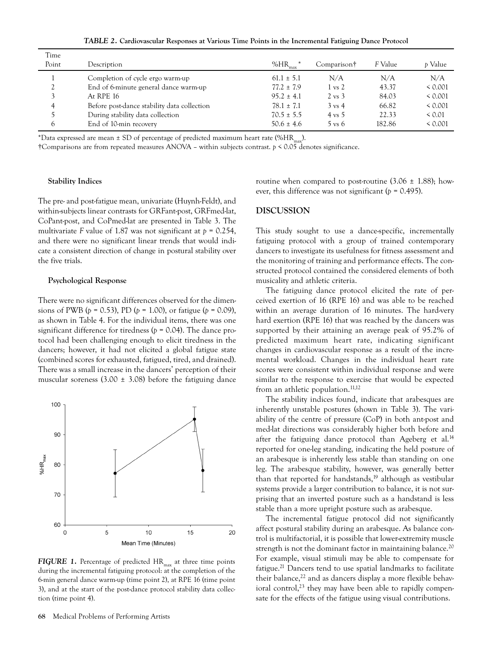*TABLE 2.* **Cardiovascular Responses at Various Time Points in the Incremental Fatiguing Dance Protocol**

| Time         |                                             |                |                   |         |              |
|--------------|---------------------------------------------|----------------|-------------------|---------|--------------|
| Point        | Description                                 | % $HR_{max}$   | Comparison†       | F Value | p Value      |
|              | Completion of cycle ergo warm-up            | $61.1 \pm 5.1$ | N/A               | N/A     | N/A          |
| <sup>2</sup> | End of 6-minute general dance warm-up       | $77.2 \pm 7.9$ | $1 \text{ vs } 2$ | 43.37   | < 0.001      |
|              | At RPE 16                                   | $95.2 \pm 4.1$ | $2 \text{ vs } 3$ | 84.03   | < 0.001      |
| 4            | Before post-dance stability data collection | $78.1 \pm 7.1$ | $3 \text{ vs } 4$ | 66.82   | < 0.001      |
|              | During stability data collection            | $70.5 \pm 5.5$ | $4 \text{ vs } 5$ | 22.33   | ${}_{0.01}$  |
| $\circ$      | End of 10-min recovery                      | $50.6 \pm 4.6$ | $5 \text{ vs } 6$ | 182.86  | ${}_{0.001}$ |

\*Data expressed are mean  $\pm$  SD of percentage of predicted maximum heart rate (%HR<sub>max</sub>).

†Comparisons are from repeated measures ANOVA – within subjects contrast. *p* < 0.05 denotes significance.

#### **Stability Indices**

The pre- and post-fatigue mean, univariate (Huynh-Feldt), and within-subjects linear contrasts for GRFant-post, GRFmed-lat, CoPant-post, and CoPmed-lat are presented in Table 3. The multivariate *F* value of 1.87 was not significant at *p* = 0.254, and there were no significant linear trends that would indicate a consistent direction of change in postural stability over the five trials.

#### **Psychological Response**

There were no significant differences observed for the dimensions of PWB ( $p = 0.53$ ), PD ( $p = 1.00$ ), or fatigue ( $p = 0.09$ ), as shown in Table 4. For the individual items, there was one significant difference for tiredness (*p* = 0.04). The dance protocol had been challenging enough to elicit tiredness in the dancers; however, it had not elicited a global fatigue state (combined scores for exhausted, fatigued, tired, and drained). There was a small increase in the dancers' perception of their muscular soreness  $(3.00 \pm 3.08)$  before the fatiguing dance



**FIGURE 1.** Percentage of predicted HR<sub>max</sub> at three time points during the incremental fatiguing protocol: at the completion of the 6-min general dance warm-up (time point 2), at RPE 16 (time point 3), and at the start of the post-dance protocol stability data collection (time point 4).

routine when compared to post-routine  $(3.06 \pm 1.88)$ ; however, this difference was not significant (*p* = 0.495).

#### **DISCUSSION**

This study sought to use a dance-specific, incrementally fatiguing protocol with a group of trained contemporary dancers to investigate its usefulness for fitness assessment and the monitoring of training and performance effects. The constructed protocol contained the considered elements of both musicality and athletic criteria.

The fatiguing dance protocol elicited the rate of perceived exertion of 16 (RPE 16) and was able to be reached within an average duration of 16 minutes. The hard-very hard exertion (RPE 16) that was reached by the dancers was supported by their attaining an average peak of 95.2% of predicted maximum heart rate, indicating significant changes in cardiovascular response as a result of the incremental workload. Changes in the individual heart rate scores were consistent within individual response and were similar to the response to exercise that would be expected from an athletic population.<sup>11,12</sup>

The stability indices found, indicate that arabesques are inherently unstable postures (shown in Table 3). The variability of the centre of pressure (CoP) in both ant-post and med-lat directions was considerably higher both before and after the fatiguing dance protocol than Ageberg et al.<sup>14</sup> reported for one-leg standing, indicating the held posture of an arabesque is inherently less stable than standing on one leg. The arabesque stability, however, was generally better than that reported for handstands,<sup>19</sup> although as vestibular systems provide a larger contribution to balance, it is not surprising that an inverted posture such as a handstand is less stable than a more upright posture such as arabesque.

The incremental fatigue protocol did not significantly affect postural stability during an arabesque. As balance control is multifactorial, it is possible that lower-extremity muscle strength is not the dominant factor in maintaining balance.<sup>20</sup> For example, visual stimuli may be able to compensate for fatigue.<sup>21</sup> Dancers tend to use spatial landmarks to facilitate their balance, $^{22}$  and as dancers display a more flexible behavioral control, $^{23}$  they may have been able to rapidly compensate for the effects of the fatigue using visual contributions.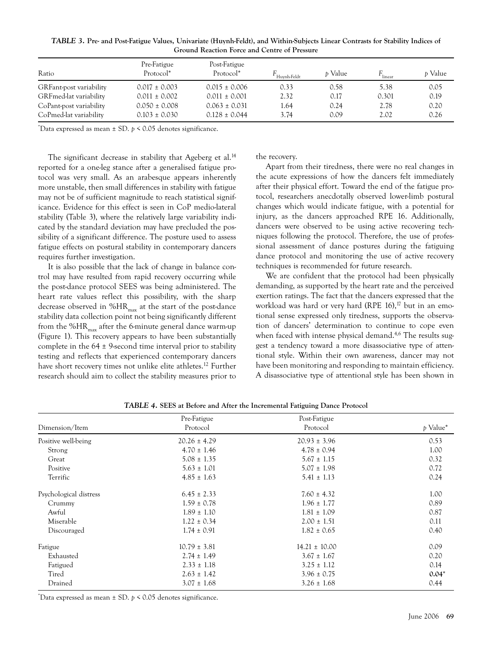| TABLE 3. Pre- and Post-Fatigue Values, Univariate (Huynh-Feldt), and Within-Subjects Linear Contrasts for Stability Indices of |  |
|--------------------------------------------------------------------------------------------------------------------------------|--|
| <b>Ground Reaction Force and Centre of Pressure</b>                                                                            |  |

| Ratio                   | Pre-Fatigue<br>Protocol <sup>*</sup> | Post-Fatigue<br>Protocol <sup>*</sup> | Huvnh-Feldt | <i>t</i> Value | $F_{\text{linear}}$ | <i>b</i> Value |
|-------------------------|--------------------------------------|---------------------------------------|-------------|----------------|---------------------|----------------|
| GRFant-post variability | $0.017 \pm 0.003$                    | $0.015 \pm 0.006$                     | 0.33        | 0.58           | 5.38                | 0.05           |
| GRFmed-lat variability  | $0.011 \pm 0.002$                    | $0.011 \pm 0.001$                     | 2.32        | 0.17           | 0.301               | 0.19           |
| CoPant-post variability | $0.050 \pm 0.008$                    | $0.063 \pm 0.031$                     | 1.64        | 0.24           | 2.78                | 0.20           |
| CoPmed-lat variability  | $0.103 \pm 0.030$                    | $0.128 \pm 0.044$                     | 3.74        | 0.09           | 2.02                | 0.26           |

\* Data expressed as mean ± SD. *p* < 0.05 denotes significance.

The significant decrease in stability that Ageberg et al.<sup>14</sup> reported for a one-leg stance after a generalised fatigue protocol was very small. As an arabesque appears inherently more unstable, then small differences in stability with fatigue may not be of sufficient magnitude to reach statistical significance. Evidence for this effect is seen in CoP medio-lateral stability (Table 3), where the relatively large variability indicated by the standard deviation may have precluded the possibility of a significant difference. The posture used to assess fatigue effects on postural stability in contemporary dancers requires further investigation.

It is also possible that the lack of change in balance control may have resulted from rapid recovery occurring while the post-dance protocol SEES was being administered. The heart rate values reflect this possibility, with the sharp decrease observed in  $%HR_{max}$  at the start of the post-dance stability data collection point not being significantly different from the  $%HR_{max}$  after the 6-minute general dance warm-up (Figure 1). This recovery appears to have been substantially complete in the 64 ± 9-second time interval prior to stability testing and reflects that experienced contemporary dancers have short recovery times not unlike elite athletes.<sup>12</sup> Further research should aim to collect the stability measures prior to the recovery.

Apart from their tiredness, there were no real changes in the acute expressions of how the dancers felt immediately after their physical effort. Toward the end of the fatigue protocol, researchers anecdotally observed lower-limb postural changes which would indicate fatigue, with a potential for injury, as the dancers approached RPE 16. Additionally, dancers were observed to be using active recovering techniques following the protocol. Therefore, the use of professional assessment of dance postures during the fatiguing dance protocol and monitoring the use of active recovery techniques is recommended for future research.

We are confident that the protocol had been physically demanding, as supported by the heart rate and the perceived exertion ratings. The fact that the dancers expressed that the workload was hard or very hard (RPE 16),<sup>17</sup> but in an emotional sense expressed only tiredness, supports the observation of dancers' determination to continue to cope even when faced with intense physical demand.<sup>4,6</sup> The results suggest a tendency toward a more disassociative type of attentional style. Within their own awareness, dancer may not have been monitoring and responding to maintain efficiency. A disassociative type of attentional style has been shown in

|                        | Pre-Fatigue      | Post-Fatigue      |          |
|------------------------|------------------|-------------------|----------|
| Dimension/Item         | Protocol         | Protocol          | p Value* |
| Positive well-being    | $20.26 \pm 4.29$ | $20.93 \pm 3.96$  | 0.53     |
| Strong                 | $4.70 \pm 1.46$  | $4.78 \pm 0.94$   | 1.00     |
| Great                  | $5.08 \pm 1.35$  | $5.67 \pm 1.15$   | 0.32     |
| Positive               | $5.63 \pm 1.01$  | $5.07 \pm 1.98$   | 0.72     |
| Terrific               | $4.85 \pm 1.63$  | $5.41 \pm 1.13$   | 0.24     |
| Psychological distress | $6.45 \pm 2.33$  | $7.60 \pm 4.32$   | 1.00     |
| Crummy                 | $1.59 \pm 0.78$  | $1.96 \pm 1.77$   | 0.89     |
| Awful                  | $1.89 \pm 1.10$  | $1.81 \pm 1.09$   | 0.87     |
| Miserable              | $1.22 \pm 0.34$  | $2.00 \pm 1.51$   | 0.11     |
| Discouraged            | $1.74 \pm 0.91$  | $1.82 \pm 0.65$   | 0.40     |
| Fatigue                | $10.79 \pm 3.81$ | $14.21 \pm 10.00$ | 0.09     |
| Exhausted              | $2.74 \pm 1.49$  | $3.67 \pm 1.67$   | 0.20     |
| Fatigued               | $2.33 \pm 1.18$  | $3.25 \pm 1.12$   | 0.14     |
| Tired                  | $2.63 \pm 1.42$  | $3.96 \pm 0.75$   | $0.04*$  |
| Drained                | $3.07 \pm 1.68$  | $3.26 \pm 1.68$   | 0.44     |

*TABLE 4.* **SEES at Before and After the Incremental Fatiguing Dance Protocol**

\* Data expressed as mean ± SD. *p* < 0.05 denotes significance.